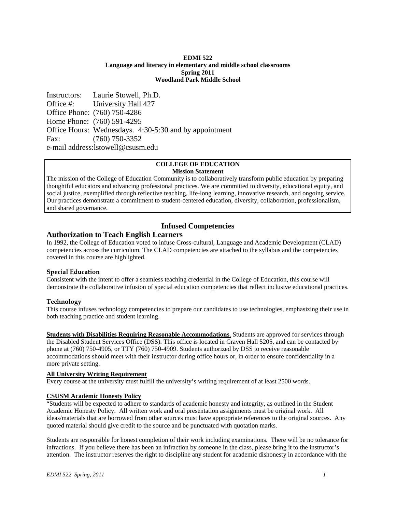#### **EDMI 522 Language and literacy in elementary and middle school classrooms Spring 2011 Woodland Park Middle School**

Instructors: Laurie Stowell, Ph.D. Office #: University Hall 427 Office Phone: (760) 750-4286 Home Phone: (760) 591-4295 Office Hours: Wednesdays. 4:30-5:30 and by appointment Fax: (760) 750-3352 e-mail address:lstowell@csusm.edu

# **COLLEGE OF EDUCATION Mission Statement**

The mission of the College of Education Community is to collaboratively transform public education by preparing thoughtful educators and advancing professional practices. We are committed to diversity, educational equity, and social justice, exemplified through reflective teaching, life-long learning, innovative research, and ongoing service. Our practices demonstrate a commitment to student-centered education, diversity, collaboration, professionalism, and shared governance.

# **Infused Competencies**

# **Authorization to Teach English Learners**

In 1992, the College of Education voted to infuse Cross-cultural, Language and Academic Development (CLAD) competencies across the curriculum. The CLAD competencies are attached to the syllabus and the competencies covered in this course are highlighted.

## **Special Education**

Consistent with the intent to offer a seamless teaching credential in the College of Education, this course will demonstrate the collaborative infusion of special education competencies that reflect inclusive educational practices.

## **Technology**

This course infuses technology competencies to prepare our candidates to use technologies, emphasizing their use in both teaching practice and student learning.

 more private setting. **Students with Disabilities Requiring Reasonable Accommodations.** Students are approved for services through the Disabled Student Services Office (DSS). This office is located in Craven Hall 5205, and can be contacted by phone at (760) 750-4905, or TTY (760) 750-4909. Students authorized by DSS to receive reasonable accommodations should meet with their instructor during office hours or, in order to ensure confidentiality in a

## **All University Writing Requirement**

Every course at the university must fulfill the university's writing requirement of at least 2500 words.

## **CSUSM Academic Honesty Policy**

"Students will be expected to adhere to standards of academic honesty and integrity, as outlined in the Student Academic Honesty Policy. All written work and oral presentation assignments must be original work. All ideas/materials that are borrowed from other sources must have appropriate references to the original sources. Any quoted material should give credit to the source and be punctuated with quotation marks.

Students are responsible for honest completion of their work including examinations. There will be no tolerance for infractions. If you believe there has been an infraction by someone in the class, please bring it to the instructor's attention. The instructor reserves the right to discipline any student for academic dishonesty in accordance with the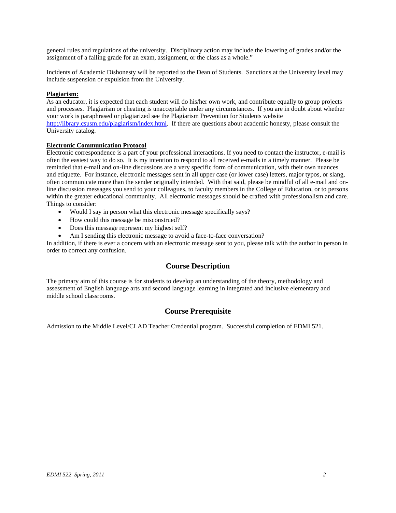general rules and regulations of the university. Disciplinary action may include the lowering of grades and/or the assignment of a failing grade for an exam, assignment, or the class as a whole."

Incidents of Academic Dishonesty will be reported to the Dean of Students. Sanctions at the University level may include suspension or expulsion from the University.

#### **Plagiarism:**

As an educator, it is expected that each student will do his/her own work, and contribute equally to group projects and processes. Plagiarism or cheating is unacceptable under any circumstances. If you are in doubt about whether your work is paraphrased or plagiarized see the Plagiarism Prevention for Students website http://library.csusm.edu/plagiarism/index.html. If there are questions about academic honesty, please consult the University catalog.

#### **Electronic Communication Protocol**

Electronic correspondence is a part of your professional interactions. If you need to contact the instructor, e-mail is often the easiest way to do so. It is my intention to respond to all received e-mails in a timely manner. Please be reminded that e-mail and on-line discussions are a very specific form of communication, with their own nuances and etiquette. For instance, electronic messages sent in all upper case (or lower case) letters, major typos, or slang, often communicate more than the sender originally intended. With that said, please be mindful of all e-mail and online discussion messages you send to your colleagues, to faculty members in the College of Education, or to persons within the greater educational community. All electronic messages should be crafted with professionalism and care. Things to consider:

- Would I say in person what this electronic message specifically says?
- How could this message be misconstrued?
- Does this message represent my highest self?
- Am I sending this electronic message to avoid a face-to-face conversation?

In addition, if there is ever a concern with an electronic message sent to you, please talk with the author in person in order to correct any confusion.

## **Course Description**

The primary aim of this course is for students to develop an understanding of the theory, methodology and assessment of English language arts and second language learning in integrated and inclusive elementary and middle school classrooms.

# **Course Prerequisite**

Admission to the Middle Level/CLAD Teacher Credential program. Successful completion of EDMI 521.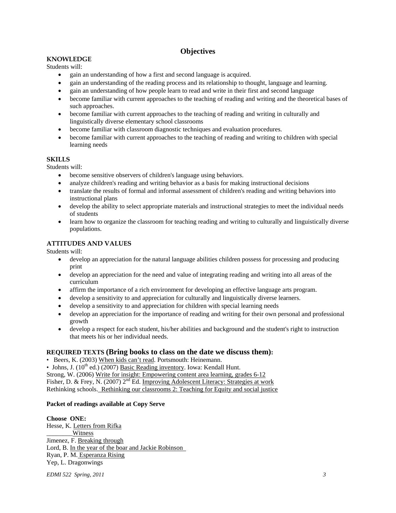# **Objectives**

# **KNOWLEDGE**

Students will:

- gain an understanding of how a first and second language is acquired.
- gain an understanding of the reading process and its relationship to thought, language and learning.
- gain an understanding of how people learn to read and write in their first and second language
- become familiar with current approaches to the teaching of reading and writing and the theoretical bases of such approaches.
- become familiar with current approaches to the teaching of reading and writing in culturally and linguistically diverse elementary school classrooms
- become familiar with classroom diagnostic techniques and evaluation procedures.
- become familiar with current approaches to the teaching of reading and writing to children with special learning needs

# **SKILLS**

Students will:

- become sensitive observers of children's language using behaviors.
- analyze children's reading and writing behavior as a basis for making instructional decisions
- translate the results of formal and informal assessment of children's reading and writing behaviors into instructional plans
- develop the ability to select appropriate materials and instructional strategies to meet the individual needs of students
- learn how to organize the classroom for teaching reading and writing to culturally and linguistically diverse populations.

# **ATTITUDES AND VALUES**

Students will:

- develop an appreciation for the natural language abilities children possess for processing and producing print
- develop an appreciation for the need and value of integrating reading and writing into all areas of the curriculum
- affirm the importance of a rich environment for developing an effective language arts program.
- develop a sensitivity to and appreciation for culturally and linguistically diverse learners.
- develop a sensitivity to and appreciation for children with special learning needs
- develop an appreciation for the importance of reading and writing for their own personal and professional growth
- develop a respect for each student, his/her abilities and background and the student's right to instruction that meets his or her individual needs.

# **REQUIRED TEXTS (Bring books to class on the date we discuss them):**

• Beers, K. (2003) When kids can't read. Portsmouth: Heinemann.

• Johns, J.  $(10^{th}$  ed.)  $(2007)$  Basic Reading inventory. Iowa: Kendall Hunt.

Strong, W. (2006) Write for insight: Empowering content area learning, grades 6-12

Fisher, D. & Frey, N. (2007) 2<sup>nd</sup> Ed. Improving Adolescent Literacy: Strategies at work Rethinking schools. Rethinking our classrooms 2: Teaching for Equity and social justice

## **Packet of readings available at Copy Serve**

## **Choose ONE:**

Hesse, K. Letters from Rifka **Witness** Jimenez, F. Breaking through Hesse, K. <u>Letters from Rifka</u><br>
<u>\_\_\_\_\_\_Witness</u><br>
Jimenez, F. <u>Breaking through</u><br>
Lord, B. <u>In the year of the boar and Jackie Robinson</u> Ryan, P. M. Esperanza Rising<br>Yep, L. Dragonwings

*EDMI 522 Spring, 2011 3*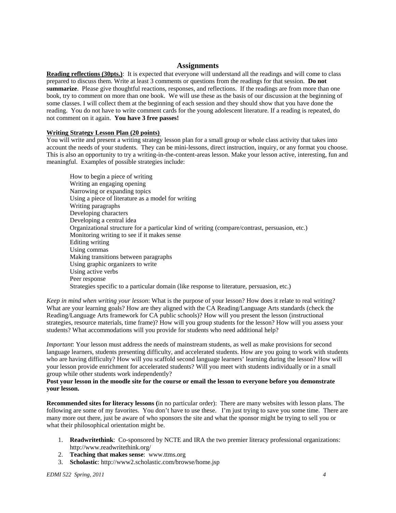## **Assignments**

**Reading reflections (30pts.)**: It is expected that everyone will understand all the readings and will come to class prepared to discuss them. Write at least 3 comments or questions from the readings for that session. **Do not summarize**. Please give thoughtful reactions, responses, and reflections. If the readings are from more than one book, try to comment on more than one book. We will use these as the basis of our discussion at the beginning of some classes. I will collect them at the beginning of each session and they should show that you have done the reading. You do not have to write comment cards for the young adolescent literature. If a reading is repeated, do not comment on it again. **You have 3 free passes!** 

#### **Writing Strategy Lesson Plan (20 points)**

 meaningful. Examples of possible strategies include: How to begin a piece of writing You will write and present a writing strategy lesson plan for a small group or whole class activity that takes into account the needs of your students. They can be mini-lessons, direct instruction, inquiry, or any format you choose. This is also an opportunity to try a writing-in-the-content-areas lesson. Make your lesson active, interesting, fun and

Writing an engaging opening Narrowing or expanding topics Using a piece of literature as a model for writing Writing paragraphs Developing characters Developing a central idea Organizational structure for a particular kind of writing (compare/contrast, persuasion, etc.) Monitoring writing to see if it makes sense Editing writing Using commas Making transitions between paragraphs Using graphic organizers to write Using active verbs Peer response Strategies specific to a particular domain (like response to literature, persuasion, etc.)

 students? What accommodations will you provide for students who need additional help? *Keep in mind when writing your lesson*: What is the purpose of your lesson? How does it relate to real writing? What are your learning goals? How are they aligned with the CA Reading/Language Arts standards (check the Reading/Language Arts framework for CA public schools)? How will you present the lesson (instructional strategies, resource materials, time frame)? How will you group students for the lesson? How will you assess your

 group while other students work independently? *Important*: Your lesson must address the needs of mainstream students, as well as make provisions for second language learners, students presenting difficulty, and accelerated students. How are you going to work with students who are having difficulty? How will you scaffold second language learners' learning during the lesson? How will your lesson provide enrichment for accelerated students? Will you meet with students individually or in a small

#### **Post your lesson in the moodle site for the course or email the lesson to everyone before you demonstrate your lesson.**

**Recommended sites for literacy lessons (**in no particular order): There are many websites with lesson plans. The following are some of my favorites. You don't have to use these. I'm just trying to save you some time. There are many more out there, just be aware of who sponsors the site and what the sponsor might be trying to sell you or what their philosophical orientation might be.

- 1. **Readwritethink**: Co-sponsored by NCTE and IRA the two premier literacy professional organizations: http://www.readwritethink.org/
- 2. **Teaching that makes sense**: www.ttms.org
- 3. **Scholastic**: http://www2.scholastic.com/browse/home.jsp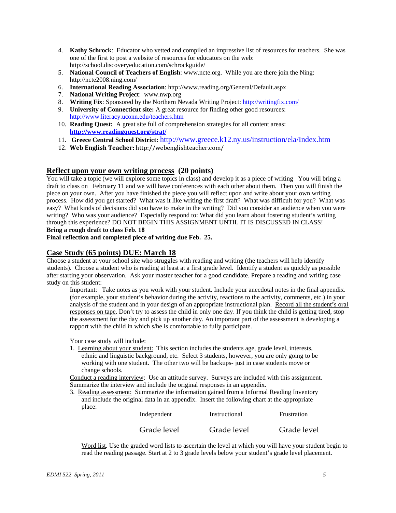- 4. **Kathy Schrock**: Educator who vetted and compiled an impressive list of resources for teachers. She was one of the first to post a website of resources for educators on the web: http://school.discoveryeducation.com/schrockguide/
- 5. **National Council of Teachers of English**: www.ncte.org. While you are there join the Ning: http://ncte2008.ning.com/
- 6. **International Reading Association**: http://www.reading.org/General/Default.aspx
- 7. **National Writing Project**: www.nwp.org
- 8. **Writing Fix**: Sponsored by the Northern Nevada Writing Project: http://writingfix.com/
- 9. **University of Connecticut site:** A great resource for finding other good resources: http://www.literacy.uconn.edu/teachers.htm
- 10. **Reading Quest:** A great site full of comprehension strategies for all content areas: **http://www.readingquest.org/strat/**
- 11. **Greece Central School District:** http://www.greece.k12.ny.us/instruction/ela/Index.htm
- 12. **Web English Teacher:** http://webenglishteacher.com/

# **Reflect upon your own writing process (20 points)**

You will take a topic (we will explore some topics in class) and develop it as a piece of writing You will bring a draft to class on February 11 and we will have conferences with each other about them. Then you will finish the piece on your own. After you have finished the piece you will reflect upon and write about your own writing process. How did you get started? What was it like writing the first draft? What was difficult for you? What was easy? What kinds of decisions did you have to make in the writing? Did you consider an audience when you were writing? Who was your audience? Especially respond to: What did you learn about fostering student's writing through this experience? DO NOT BEGIN THIS ASSIGNMENT UNTIL IT IS DISCUSSED IN CLASS! **Bring a rough draft to class Feb. 18** 

**Final reflection and completed piece of writing due Feb. 25.** 

# **Case Study (65 points) DUE: March 18**

 study on this student: Choose a student at your school site who struggles with reading and writing (the teachers will help identify students). Choose a student who is reading at least at a first grade level. Identify a student as quickly as possible after starting your observation. Ask your master teacher for a good candidate. Prepare a reading and writing case

Important: Take notes as you work with your student. Include your anecdotal notes in the final appendix. (for example, your student's behavior during the activity, reactions to the activity, comments, etc.) in your analysis of the student and in your design of an appropriate instructional plan. Record all the student's oral responses on tape. Don't try to assess the child in only one day. If you think the child is getting tired, stop the assessment for the day and pick up another day. An important part of the assessment is developing a rapport with the child in which s/he is comfortable to fully participate.

Your case study will include:

1. Learning about your student: This section includes the students age, grade level, interests, ethnic and linguistic background, etc. Select 3 students, however, you are only going to be working with one student. The other two will be backups- just in case students move or change schools.

Conduct a reading interview: Use an attitude survey. Surveys are included with this assignment. Summarize the interview and include the original responses in an appendix.

3. Reading assessment: Summarize the information gained from a Informal Reading Inventory and include the original data in an appendix. Insert the following chart at the appropriate place:

| Independent | Instructional | Frustration |
|-------------|---------------|-------------|
| Grade level | Grade level   | Grade level |

Word list. Use the graded word lists to ascertain the level at which you will have your student begin to read the reading passage. Start at 2 to 3 grade levels below your student's grade level placement.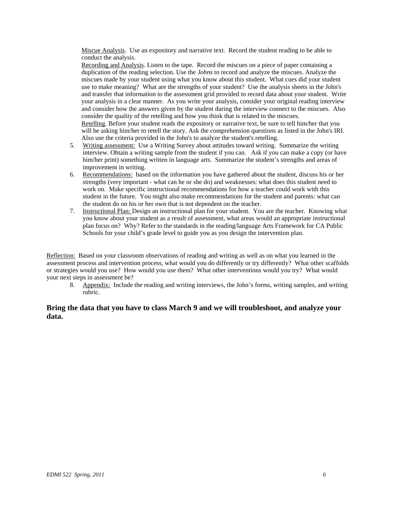Miscue Analysis. Use an expository and narrative text. Record the student reading to be able to conduct the analysis.

Recording and Analysis. Listen to the tape. Record the miscues on a piece of paper containing a duplication of the reading selection. Use the *Johns* to record and analyze the miscues. Analyze the miscues made by your student using what you know about this student. What cues did your student use to make meaning? What are the strengths of your student? Use the analysis sheets in the John's and transfer that information to the assessment grid provided to record data about your student. Write your analysis in a clear manner. As you write your analysis, consider your original reading interview and consider how the answers given by the student during the interview connect to the miscues. Also consider the quality of the retelling and how you think that is related to the miscues. Retelling. Before your student reads the expository or narrative text, be sure to tell him/her that you will be asking him/her to retell the story. Ask the comprehension questions as listed in the John's IRI. Also use the criteria provided in the John's to analyze the student's retelling.

- 5. Writing assessment: Use a Writing Survey about attitudes toward writing. Summarize the writing interview. Obtain a writing sample from the student if you can. Ask if you can make a copy (or have him/her print) something written in language arts. Summarize the student's strengths and areas of improvement in writing.
- 6. Recommendations: based on the information you have gathered about the student, discuss his or her strengths (very important - what can he or she do) and weaknesses: what does this student need to work on. Make specific instructional recommendations for how a teacher could work with this student in the future. You might also make recommendations for the student and parents: what can the student do on his or her own that is not dependent on the teacher.
- 7. Instructional Plan: Design an instructional plan for your student. You are the teacher. Knowing what you know about your student as a result of assessment, what areas would an appropriate instructional plan focus on? Why? Refer to the standards in the reading/language Arts Framework for CA Public Schools for your child's grade level to guide you as you design the intervention plan.

Reflection: Based on your classroom observations of reading and writing as well as on what you learned in the assessment process and intervention process, what would you do differently or try differently? What other scaffolds or strategies would you use? How would you use them? What other interventions would you try? What would your next steps in assessment be?

8. Appendix: Include the reading and writing interviews, the John's forms, writing samples, and writing rubric.

# **Bring the data that you have to class March 9 and we will troubleshoot, and analyze your data.**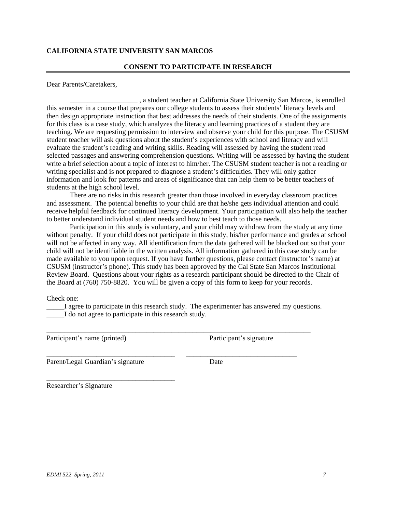# **CALIFORNIA STATE UNIVERSITY SAN MARCOS**

#### **CONSENT TO PARTICIPATE IN RESEARCH**

Dear Parents/Caretakers,

\_\_\_\_\_\_\_\_\_\_\_\_\_\_\_\_\_\_\_ , a student teacher at California State University San Marcos, is enrolled this semester in a course that prepares our college students to assess their students' literacy levels and then design appropriate instruction that best addresses the needs of their students. One of the assignments for this class is a case study, which analyzes the literacy and learning practices of a student they are teaching. We are requesting permission to interview and observe your child for this purpose. The CSUSM student teacher will ask questions about the student's experiences with school and literacy and will evaluate the student's reading and writing skills. Reading will assessed by having the student read selected passages and answering comprehension questions. Writing will be assessed by having the student write a brief selection about a topic of interest to him/her. The CSUSM student teacher is not a reading or writing specialist and is not prepared to diagnose a student's difficulties. They will only gather information and look for patterns and areas of significance that can help them to be better teachers of students at the high school level.

There are no risks in this research greater than those involved in everyday classroom practices and assessment. The potential benefits to your child are that he/she gets individual attention and could receive helpful feedback for continued literacy development. Your participation will also help the teacher to better understand individual student needs and how to best teach to those needs.

Participation in this study is voluntary, and your child may withdraw from the study at any time without penalty. If your child does not participate in this study, his/her performance and grades at school will not be affected in any way. All identification from the data gathered will be blacked out so that your child will not be identifiable in the written analysis. All information gathered in this case study can be made available to you upon request. If you have further questions, please contact (instructor's name) at CSUSM (instructor's phone). This study has been approved by the Cal State San Marcos Institutional Review Board. Questions about your rights as a research participant should be directed to the Chair of the Board at (760) 750-8820. You will be given a copy of this form to keep for your records.

Check one:

\_\_\_\_\_I agree to participate in this research study. The experimenter has answered my questions. I do not agree to participate in this research study.

\_\_\_\_\_\_\_\_\_\_\_\_\_\_\_\_\_\_\_\_\_\_\_\_\_\_\_\_\_\_\_\_\_\_\_\_\_\_\_\_\_\_\_\_\_\_\_\_\_\_\_\_\_\_\_\_\_\_\_\_\_\_\_\_\_\_\_\_\_\_\_\_\_\_

\_\_\_\_\_\_\_\_\_\_\_\_\_\_\_\_\_\_\_\_\_\_\_\_\_\_\_\_\_\_\_\_\_\_\_\_ \_\_\_\_\_\_\_\_\_\_\_\_\_\_\_\_\_\_\_\_\_\_\_\_\_\_\_\_\_\_\_

Participant's name (printed) Participant's signature

Parent/Legal Guardian's signature Date

\_\_\_\_\_\_\_\_\_\_\_\_\_\_\_\_\_\_\_\_\_\_\_\_\_\_\_\_\_\_\_\_\_\_\_\_

Researcher's Signature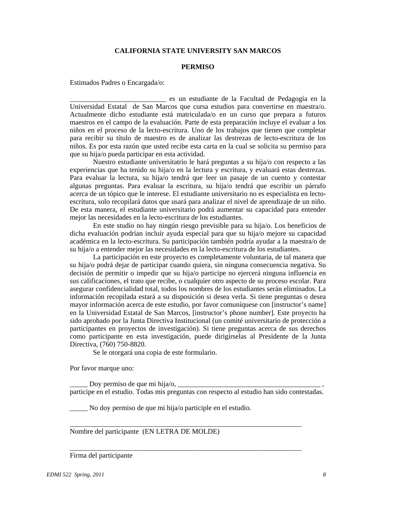# **CALIFORNIA STATE UNIVERSITY SAN MARCOS**

#### **PERMISO**

Estimados Padres o Encargada/o:

\_\_\_\_\_\_\_\_\_\_\_\_\_\_\_\_\_\_\_\_\_\_\_\_\_\_\_ es un estudiante de la Facultad de Pedagogía en la Universidad Estatal de San Marcos que cursa estudios para convertirse en maestra/o. Actualmente dicho estudiante está matriculada/o en un curso que prepara a futuros maestros en el campo de la evaluación. Parte de esta preparación incluye el evaluar a los niños en el proceso de la lecto-escritura. Uno de los trabajos que tienen que completar para recibir su título de maestro es de analizar las destrezas de lecto-escritura de los niños. Es por esta razón que usted recibe esta carta en la cual se solicita su permiso para que su hija/o pueda participar en esta actividad.

Nuestro estudiante universitatrio le hará preguntas a su hija/o con respecto a las experiencias que ha tenido su hija/o en la lectura y escritura, y evaluará estas destrezas. Para evaluar la lectura, su hija/o tendrá que leer un pasaje de un cuento y contestar algunas preguntas. Para evaluar la escritura, su hija/o tendrá que escribir un párrafo acerca de un tópico que le interese. El estudiante universitario no es especialista en lectoescritura, solo recopilará datos que usará para analizar el nivel de aprendizaje de un niño. De esta manera, el estudiante universitario podrá aumentar su capacidad para entender mejor las necesidades en la lecto-escritura de los estudiantes.

En este studio no hay ningún riesgo previsible para su hija/o. Los beneficios de dicha evaluación podrían incluír ayuda especial para que su hija/o mejore su capacidad académica en la lecto-escritura. Su participación también podría ayudar a la maestra/o de su hija/o a entender mejor las necesidades en la lecto-escritura de los estudiantes.

La participación en este proyecto es completamente voluntaria, de tal manera que su hija/o podrá dejar de participar cuando quiera, sin ninguna consecuencia negativa. Su decisión de permitir o impedir que su hija/o participe no ejercerá ninguna influencia en sus calificaciones, el trato que recibe, o cualquier otro aspecto de su proceso escolar. Para asegurar confidencialidad total, todos los nombres de los estudiantes serán eliminados. La información recopilada estará a su disposición si desea verla. Si tiene preguntas o desea mayor información acerca de este estudio, por favor comuníquese con [instructor's name] en la Universidad Estatal de San Marcos, [instructor's phone number]. Este proyecto ha sido aprobado por la Junta Directiva Institucional (un comité universitario de protección a participantes en proyectos de investigación). Si tiene preguntas acerca de sus derechos como participante en esta investigación, puede dirigírselas al Presidente de la Junta Directiva, (760) 750-8820.

Se le otorgará una copia de este formulario.

Por favor marque uno:

Doy permiso de que mi hija/o,  $\Box$ participe en el estudio. Todas mis preguntas con respecto al estudio han sido contestadas.

\_\_\_\_\_\_\_\_\_\_\_\_\_\_\_\_\_\_\_\_\_\_\_\_\_\_\_\_\_\_\_\_\_\_\_\_\_\_\_\_\_\_\_\_\_\_\_\_\_\_\_\_\_\_\_\_\_\_\_\_\_\_\_\_\_

\_\_\_\_\_\_\_\_\_\_\_\_\_\_\_\_\_\_\_\_\_\_\_\_\_\_\_\_\_\_\_\_\_\_\_\_\_\_\_\_\_\_\_\_\_\_\_\_\_\_\_\_\_\_\_\_\_\_\_\_\_\_\_\_\_

\_\_\_\_\_ No doy permiso de que mi hija/o participle en el estudio.

Nombre del participante (EN LETRA DE MOLDE)

#### Firma del participante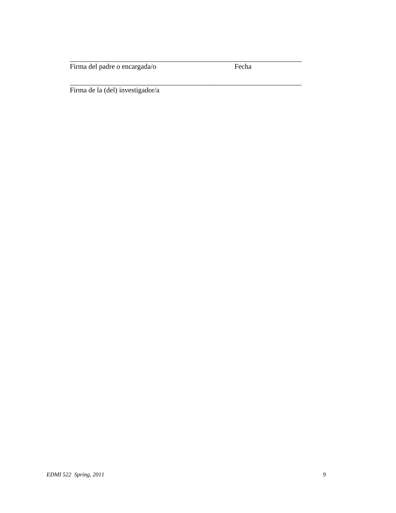Firma del padre o encargada/o Fecha

\_\_\_\_\_\_\_\_\_\_\_\_\_\_\_\_\_\_\_\_\_\_\_\_\_\_\_\_\_\_\_\_\_\_\_\_\_\_\_\_\_\_\_\_\_\_\_\_\_\_\_\_\_\_\_\_\_\_\_\_\_\_\_\_\_

\_\_\_\_\_\_\_\_\_\_\_\_\_\_\_\_\_\_\_\_\_\_\_\_\_\_\_\_\_\_\_\_\_\_\_\_\_\_\_\_\_\_\_\_\_\_\_\_\_\_\_\_\_\_\_\_\_\_\_\_\_\_\_\_\_

Firma de la (del) investigador/a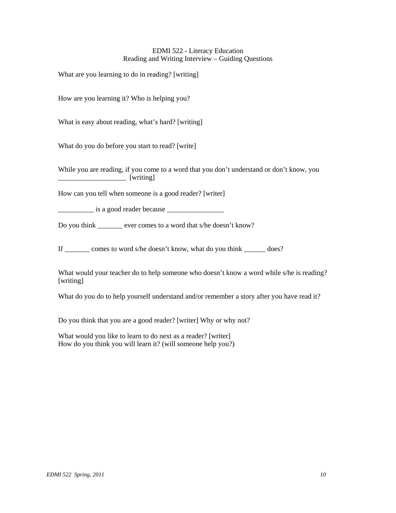# EDMI 522 - Literacy Education Reading and Writing Interview – Guiding Questions

What are you learning to do in reading? [writing]

How are you learning it? Who is helping you?

What is easy about reading, what's hard? [writing]

What do you do before you start to read? [write]

While you are reading, if you come to a word that you don't understand or don't know, you \_\_\_\_\_\_\_\_\_\_\_\_\_\_\_\_\_\_\_ [writing]

How can you tell when someone is a good reader? [writer]

\_\_\_\_\_\_\_\_\_\_ is a good reader because \_\_\_\_\_\_\_\_\_\_\_\_\_\_\_\_

Do you think ever comes to a word that s/he doesn't know?

If \_\_\_\_\_\_\_ comes to word s/he doesn't know, what do you think \_\_\_\_\_\_ does?

What would your teacher do to help someone who doesn't know a word while s/he is reading? [writing]

What do you do to help yourself understand and/or remember a story after you have read it?

Do you think that you are a good reader? [writer] Why or why not?

What would you like to learn to do next as a reader? [writer] How do you think you will learn it? (will someone help you?)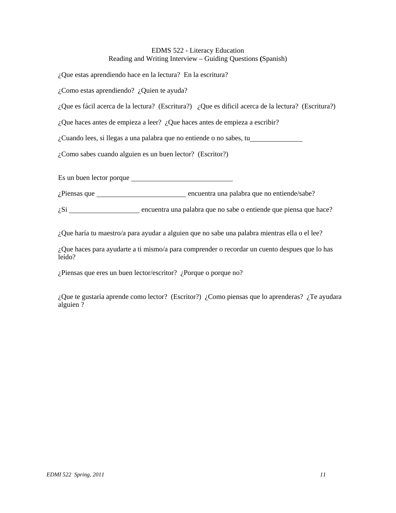# EDMS 522 - Literacy Education Reading and Writing Interview – Guiding Questions **(**Spanish)

¿Que estas aprendiendo hace en la lectura? En la escritura?

¿Como estas aprendiendo? ¿Quien te ayuda?

¿Que es fácil acerca de la lectura? (Escritura?) ¿Que es dificil acerca de la lectura? (Escritura?)

¿Que haces antes de empieza a leer? ¿Que haces antes de empieza a escribir?

¿Cuando lees, si llegas a una palabra que no entiende o no sabes, tu

¿Como sabes cuando alguien es un buen lector? (Escritor?)

Es un buen lector porque

¿Piensas que encuentra una palabra que no entiende/sabe?

 $\zeta$ Si  $\frac{1}{\zeta}$  encuentra una palabra que no sabe o entiende que piensa que hace?

¿Que haría tu maestro/a para ayudar a alguien que no sabe una palabra mientras ella o el lee?

¿Que haces para ayudarte a ti mismo/a para comprender o recordar un cuento despues que lo has leído?

¿Piensas que eres un buen lector/escritor? ¿Porque o porque no?

¿Que te gustaría aprende como lector? (Escritor?) ¿Como piensas que lo aprenderas? ¿Te ayudara alguien ?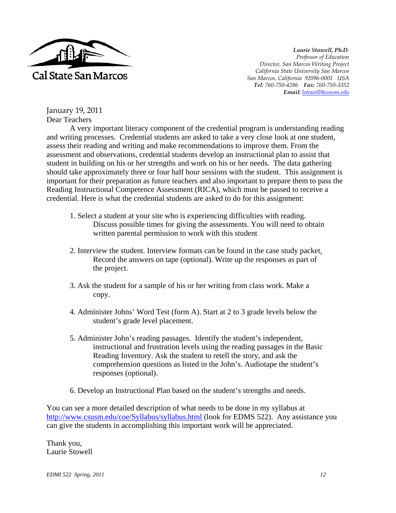

*Laurie Stowell, Ph.D. Professor of Education Director, San Marcos Writing Project California State University San Marcos San Marcos, California 92096-0001 USA Tel: 760-750-4286 Fax: 760-750-3352 Email: lstowell@csusm.edu* 

January 19, 2011 Dear Teachers

A very important literacy component of the credential program is understanding reading and writing processes. Credential students are asked to take a very close look at one student, assess their reading and writing and make recommendations to improve them. From the assessment and observations, credential students develop an instructional plan to assist that student in building on his or her strengths and work on his or her needs. The data gathering should take approximately three or four half hour sessions with the student. This assignment is important for their preparation as future teachers and also important to prepare them to pass the Reading Instructional Competence Assessment (RICA), which must be passed to receive a credential. Here is what the credential students are asked to do for this assignment:

- 1. Select a student at your site who is experiencing difficulties with reading. Discuss possible times for giving the assessments. You will need to obtain written parental permission to work with this student
- 2. Interview the student. Interview formats can be found in the case study packet. Record the answers on tape (optional). Write up the responses as part of the project.
- 3. Ask the student for a sample of his or her writing from class work. Make a copy.
- 4. Administer Johns' Word Test (form A). Start at 2 to 3 grade levels below the student's grade level placement.
- 5. Administer John's reading passages. Identify the student's independent, instructional and frustration levels using the reading passages in the Basic Reading Inventory. Ask the student to retell the story, and ask the comprehension questions as listed in the John's. Audiotape the student's responses (optional).
- 6. Develop an Instructional Plan based on the student's strengths and needs.

You can see a more detailed description of what needs to be done in my syllabus at http://www.csusm.edu/coe/Syllabus/syllabus.html (look for EDMS 522). Any assistance you can give the students in accomplishing this important work will be appreciated.

Thank you, Laurie Stowell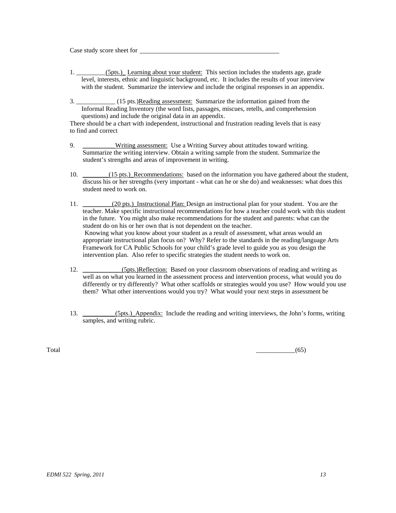Case study score sheet for

- 1. \_\_\_\_\_\_\_\_\_(5pts.)\_ Learning about your student: This section includes the students age, grade level, interests, ethnic and linguistic background, etc. It includes the results of your interview with the student. Summarize the interview and include the original responses in an appendix.
- 3. \_\_\_\_\_\_\_\_\_\_\_\_\_ (15 pts.)Reading assessment: Summarize the information gained from the Informal Reading Inventory (the word lists, passages, miscues, retells, and comprehension questions) and include the original data in an appendix.

There should be a chart with independent, instructional and frustration reading levels that is easy to find and correct

- 9. \_\_\_\_\_\_\_\_\_Writing assessment: Use a Writing Survey about attitudes toward writing. Summarize the writing interview. Obtain a writing sample from the student. Summarize the student's strengths and areas of improvement in writing.
- 10. \_\_\_\_\_\_(15 pts.)\_Recommendations: based on the information you have gathered about the student, discuss his or her strengths (very important - what can he or she do) and weaknesses: what does this student need to work on.
- 11. (20 pts.) Instructional Plan: Design an instructional plan for your student. You are the teacher. Make specific instructional recommendations for how a teacher could work with this student in the future. You might also make recommendations for the student and parents: what can the student do on his or her own that is not dependent on the teacher. Knowing what you know about your student as a result of assessment, what areas would an appropriate instructional plan focus on? Why? Refer to the standards in the reading/language Arts Framework for CA Public Schools for your child's grade level to guide you as you design the intervention plan. Also refer to specific strategies the student needs to work on.
- 12. \_\_\_\_\_\_\_\_\_\_\_(5pts.)Reflection: Based on your classroom observations of reading and writing as well as on what you learned in the assessment process and intervention process, what would you do differently or try differently? What other scaffolds or strategies would you use? How would you use them? What other interventions would you try? What would your next steps in assessment be
- 13. (5pts.) Appendix: Include the reading and writing interviews, the John's forms, writing samples, and writing rubric.

 $\overline{\text{Total}}$  (65)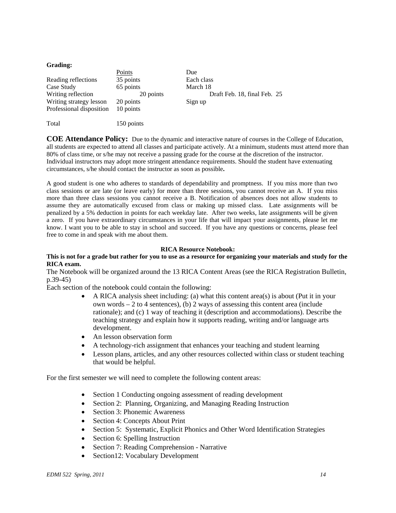#### **Grading:**

|                          | Points     | Due                          |
|--------------------------|------------|------------------------------|
| Reading reflections      | 35 points  | Each class                   |
| Case Study               | 65 points  | March 18                     |
| Writing reflection       | 20 points  | Draft Feb. 18, final Feb. 25 |
| Writing strategy lesson  | 20 points  | Sign up                      |
| Professional disposition | 10 points  |                              |
|                          |            |                              |
| Total                    | 150 points |                              |

**COE Attendance Policy:** Due to the dynamic and interactive nature of courses in the College of Education, all students are expected to attend all classes and participate actively. At a minimum, students must attend more than 80% of class time, or s/he may not receive a passing grade for the course at the discretion of the instructor. Individual instructors may adopt more stringent attendance requirements. Should the student have extenuating circumstances, s/he should contact the instructor as soon as possible**.** 

A good student is one who adheres to standards of dependability and promptness. If you miss more than two class sessions or are late (or leave early) for more than three sessions, you cannot receive an A. If you miss more than three class sessions you cannot receive a B. Notification of absences does not allow students to assume they are automatically excused from class or making up missed class. Late assignments will be penalized by a 5% deduction in points for each weekday late. After two weeks, late assignments will be given a zero. If you have extraordinary circumstances in your life that will impact your assignments, please let me know. I want you to be able to stay in school and succeed. If you have any questions or concerns, please feel free to come in and speak with me about them.

#### **RICA Resource Notebook:**

#### **This is not for a grade but rather for you to use as a resource for organizing your materials and study for the RICA exam.**

The Notebook will be organized around the 13 RICA Content Areas (see the RICA Registration Bulletin, p.39-45)

Each section of the notebook could contain the following:

- $\bullet$  A RICA analysis sheet including: (a) what this content area(s) is about (Put it in your own words  $-2$  to 4 sentences), (b) 2 ways of assessing this content area (include rationale); and (c) 1 way of teaching it (description and accommodations). Describe the teaching strategy and explain how it supports reading, writing and/or language arts development.
- An lesson observation form
- A technology-rich assignment that enhances your teaching and student learning
- Lesson plans, articles, and any other resources collected within class or student teaching that would be helpful.

For the first semester we will need to complete the following content areas:

- Section 1 Conducting ongoing assessment of reading development
- Section 2: Planning, Organizing, and Managing Reading Instruction
- Section 3: Phonemic Awareness
- Section 4: Concepts About Print
- Section 5: Systematic, Explicit Phonics and Other Word Identification Strategies
- Section 6: Spelling Instruction
- Section 7: Reading Comprehension Narrative
- Section12: Vocabulary Development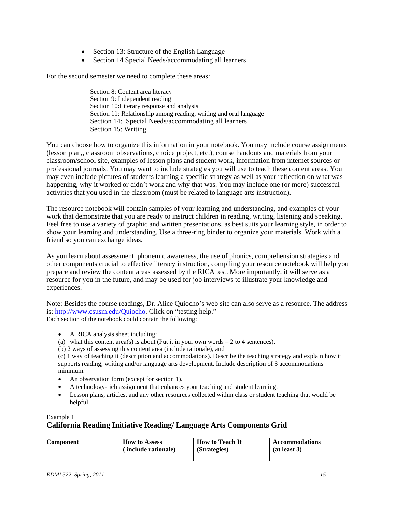- Section 13: Structure of the English Language
- Section 14 Special Needs/accommodating all learners

For the second semester we need to complete these areas:

Section 8: Content area literacy Section 9: Independent reading Section 10:Literary response and analysis Section 11: Relationship among reading, writing and oral language Section 14: Special Needs/accommodating all learners Section 15: Writing

You can choose how to organize this information in your notebook. You may include course assignments (lesson plan,, classroom observations, choice project, etc.), course handouts and materials from your classroom/school site, examples of lesson plans and student work, information from internet sources or professional journals. You may want to include strategies you will use to teach these content areas. You may even include pictures of students learning a specific strategy as well as your reflection on what was happening, why it worked or didn't work and why that was. You may include one (or more) successful activities that you used in the classroom (must be related to language arts instruction).

The resource notebook will contain samples of your learning and understanding, and examples of your work that demonstrate that you are ready to instruct children in reading, writing, listening and speaking. Feel free to use a variety of graphic and written presentations, as best suits your learning style, in order to show your learning and understanding. Use a three-ring binder to organize your materials. Work with a friend so you can exchange ideas.

As you learn about assessment, phonemic awareness, the use of phonics, comprehension strategies and other components crucial to effective literacy instruction, compiling your resource notebook will help you prepare and review the content areas assessed by the RICA test. More importantly, it will serve as a resource for you in the future, and may be used for job interviews to illustrate your knowledge and experiences.

Note: Besides the course readings, Dr. Alice Quiocho's web site can also serve as a resource. The address is: http://www.csusm.edu/Quiocho. Click on "testing help." Each section of the notebook could contain the following:

- A RICA analysis sheet including:
- (a) what this content area(s) is about (Put it in your own words  $-2$  to 4 sentences),
- (b) 2 ways of assessing this content area (include rationale), and

 minimum. (c) 1 way of teaching it (description and accommodations). Describe the teaching strategy and explain how it supports reading, writing and/or language arts development. Include description of 3 accommodations

- An observation form (except for section 1).
- A technology-rich assignment that enhances your teaching and student learning.
- Lesson plans, articles, and any other resources collected within class or student teaching that would be helpful.

## Example 1

# **California Reading Initiative Reading/ Language Arts Components Grid**

| Component | <b>How to Assess</b> | <b>How to Teach It</b> | <b>Accommodations</b> |
|-----------|----------------------|------------------------|-----------------------|
|           | (include rationale)  | (Strategies)           | (at least 3)          |
|           |                      |                        |                       |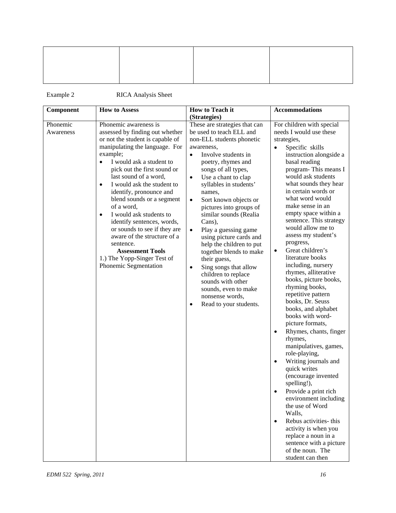Example 2 RICA Analysis Sheet

| Component             | <b>How to Assess</b>                                                                                                                                                                                                                                                                                                                                                                                                                                                                                                                                                                 | How to Teach it                                                                                                                                                                                                                                                                                                                                                                                                                                                                                                                                                                                                                                                               | <b>Accommodations</b>                                                                                                                                                                                                                                                                                                                                                                                                                                                                                                                                                                                                                                                                                                                                                                                                                                                                                                                                                                                                                                                                 |
|-----------------------|--------------------------------------------------------------------------------------------------------------------------------------------------------------------------------------------------------------------------------------------------------------------------------------------------------------------------------------------------------------------------------------------------------------------------------------------------------------------------------------------------------------------------------------------------------------------------------------|-------------------------------------------------------------------------------------------------------------------------------------------------------------------------------------------------------------------------------------------------------------------------------------------------------------------------------------------------------------------------------------------------------------------------------------------------------------------------------------------------------------------------------------------------------------------------------------------------------------------------------------------------------------------------------|---------------------------------------------------------------------------------------------------------------------------------------------------------------------------------------------------------------------------------------------------------------------------------------------------------------------------------------------------------------------------------------------------------------------------------------------------------------------------------------------------------------------------------------------------------------------------------------------------------------------------------------------------------------------------------------------------------------------------------------------------------------------------------------------------------------------------------------------------------------------------------------------------------------------------------------------------------------------------------------------------------------------------------------------------------------------------------------|
|                       |                                                                                                                                                                                                                                                                                                                                                                                                                                                                                                                                                                                      | (Strategies)                                                                                                                                                                                                                                                                                                                                                                                                                                                                                                                                                                                                                                                                  |                                                                                                                                                                                                                                                                                                                                                                                                                                                                                                                                                                                                                                                                                                                                                                                                                                                                                                                                                                                                                                                                                       |
| Phonemic<br>Awareness | Phonemic awareness is<br>assessed by finding out whether<br>or not the student is capable of<br>manipulating the language. For<br>example;<br>I would ask a student to<br>pick out the first sound or<br>last sound of a word,<br>I would ask the student to<br>$\bullet$<br>identify, pronounce and<br>blend sounds or a segment<br>of a word,<br>I would ask students to<br>$\bullet$<br>identify sentences, words,<br>or sounds to see if they are<br>aware of the structure of a<br>sentence.<br><b>Assessment Tools</b><br>1.) The Yopp-Singer Test of<br>Phonemic Segmentation | These are strategies that can<br>be used to teach ELL and<br>non-ELL students phonetic<br>awareness,<br>Involve students in<br>$\bullet$<br>poetry, rhymes and<br>songs of all types,<br>Use a chant to clap<br>$\bullet$<br>syllables in students'<br>names,<br>Sort known objects or<br>$\bullet$<br>pictures into groups of<br>similar sounds (Realia<br>Cans),<br>Play a guessing game<br>$\bullet$<br>using picture cards and<br>help the children to put<br>together blends to make<br>their guess,<br>Sing songs that allow<br>$\bullet$<br>children to replace<br>sounds with other<br>sounds, even to make<br>nonsense words,<br>Read to your students.<br>$\bullet$ | For children with special<br>needs I would use these<br>strategies,<br>Specific skills<br>$\bullet$<br>instruction alongside a<br>basal reading<br>program-This means I<br>would ask students<br>what sounds they hear<br>in certain words or<br>what word would<br>make sense in an<br>empty space within a<br>sentence. This strategy<br>would allow me to<br>assess my student's<br>progress,<br>Great children's<br>$\bullet$<br>literature books<br>including, nursery<br>rhymes, alliterative<br>books, picture books,<br>rhyming books,<br>repetitive pattern<br>books, Dr. Seuss<br>books, and alphabet<br>books with word-<br>picture formats,<br>Rhymes, chants, finger<br>$\bullet$<br>rhymes,<br>manipulatives, games,<br>role-playing,<br>Writing journals and<br>$\bullet$<br>quick writes<br>(encourage invented<br>spelling!),<br>Provide a print rich<br>environment including<br>the use of Word<br>Walls,<br>Rebus activities- this<br>$\bullet$<br>activity is when you<br>replace a noun in a<br>sentence with a picture<br>of the noun. The<br>student can then |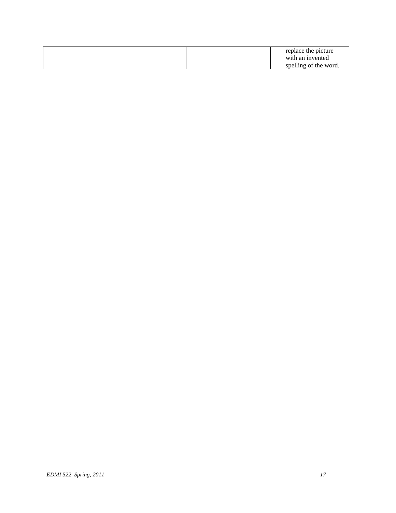|  |  | replace the picture   |
|--|--|-----------------------|
|  |  | with an invented      |
|  |  | spelling of the word. |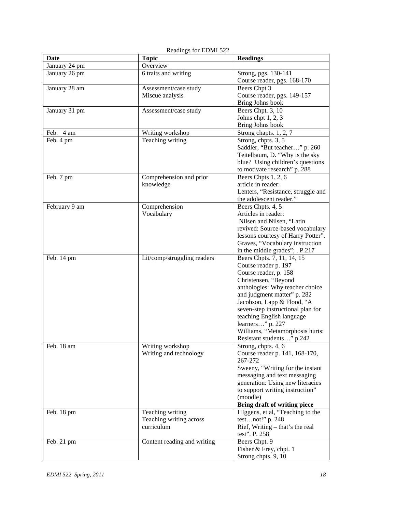| Date          | <b>Topic</b>                | <b>Readings</b>                               |
|---------------|-----------------------------|-----------------------------------------------|
| January 24 pm | Overview                    |                                               |
| January 26 pm | 6 traits and writing        | Strong, pgs. 130-141                          |
|               |                             | Course reader, pgs. 168-170                   |
| January 28 am | Assessment/case study       | Beers Chpt 3                                  |
|               | Miscue analysis             | Course reader, pgs. 149-157                   |
|               |                             | Bring Johns book                              |
| January 31 pm | Assessment/case study       | Beers Chpt. 3, 10                             |
|               |                             | Johns chpt $1, 2, 3$                          |
|               |                             | Bring Johns book                              |
| Feb. 4 am     | Writing workshop            | Strong chapts. 1, 2, 7                        |
| Feb. 4 pm     | Teaching writing            | Strong, chpts. 3, 5                           |
|               |                             | Saddler, "But teacher" p. 260                 |
|               |                             | Teitelbaum, D. "Why is the sky                |
|               |                             | blue? Using children's questions              |
|               |                             | to motivate research" p. 288                  |
| Feb. 7 pm     | Comprehension and prior     | Beers Chpts 1.2, 6                            |
|               | knowledge                   | article in reader:                            |
|               |                             | Lenters, "Resistance, struggle and            |
|               |                             | the adolescent reader."                       |
| February 9 am | Comprehension               | Beers Chpts. 4, 5                             |
|               | Vocabulary                  | Articles in reader:                           |
|               |                             | Nilsen and Nilsen, "Latin                     |
|               |                             | revived: Source-based vocabulary              |
|               |                             | lessons courtesy of Harry Potter".            |
|               |                             | Graves, "Vocabulary instruction               |
|               |                             | in the middle grades"; . P.217                |
| Feb. 14 pm    | Lit/comp/struggling readers | Beers Chpts. 7, 11, 14, 15                    |
|               |                             | Course reader p. 197                          |
|               |                             | Course reader, p. 158                         |
|               |                             | Christensen, "Beyond                          |
|               |                             | anthologies: Why teacher choice               |
|               |                             | and judgment matter" p. 282                   |
|               |                             | Jacobson, Lapp & Flood, "A                    |
|               |                             | seven-step instructional plan for             |
|               |                             | teaching English language<br>learners" p. 227 |
|               |                             | Williams, "Metamorphosis hurts:               |
|               |                             | Resistant students" p.242                     |
| Feb. 18 am    | Writing workshop            | Strong, chpts. 4, 6                           |
|               | Writing and technology      | Course reader p. 141, 168-170,                |
|               |                             | 267-272                                       |
|               |                             | Sweeny, "Writing for the instant              |
|               |                             | messaging and text messaging                  |
|               |                             | generation: Using new literacies              |
|               |                             | to support writing instruction"               |
|               |                             | (moodle)                                      |
|               |                             | <b>Bring draft of writing piece</b>           |
| Feb. 18 pm    | Teaching writing            | HIggens, et al, "Teaching to the              |
|               | Teaching writing across     | testnot!" p. 248                              |
|               | curriculum                  | Rief, Writing $-$ that's the real             |
|               |                             | test". P. 258                                 |
| Feb. 21 pm    | Content reading and writing | Beers Chpt. 9                                 |
|               |                             | Fisher & Frey, chpt. 1                        |
|               |                             | Strong chpts. 9, 10                           |